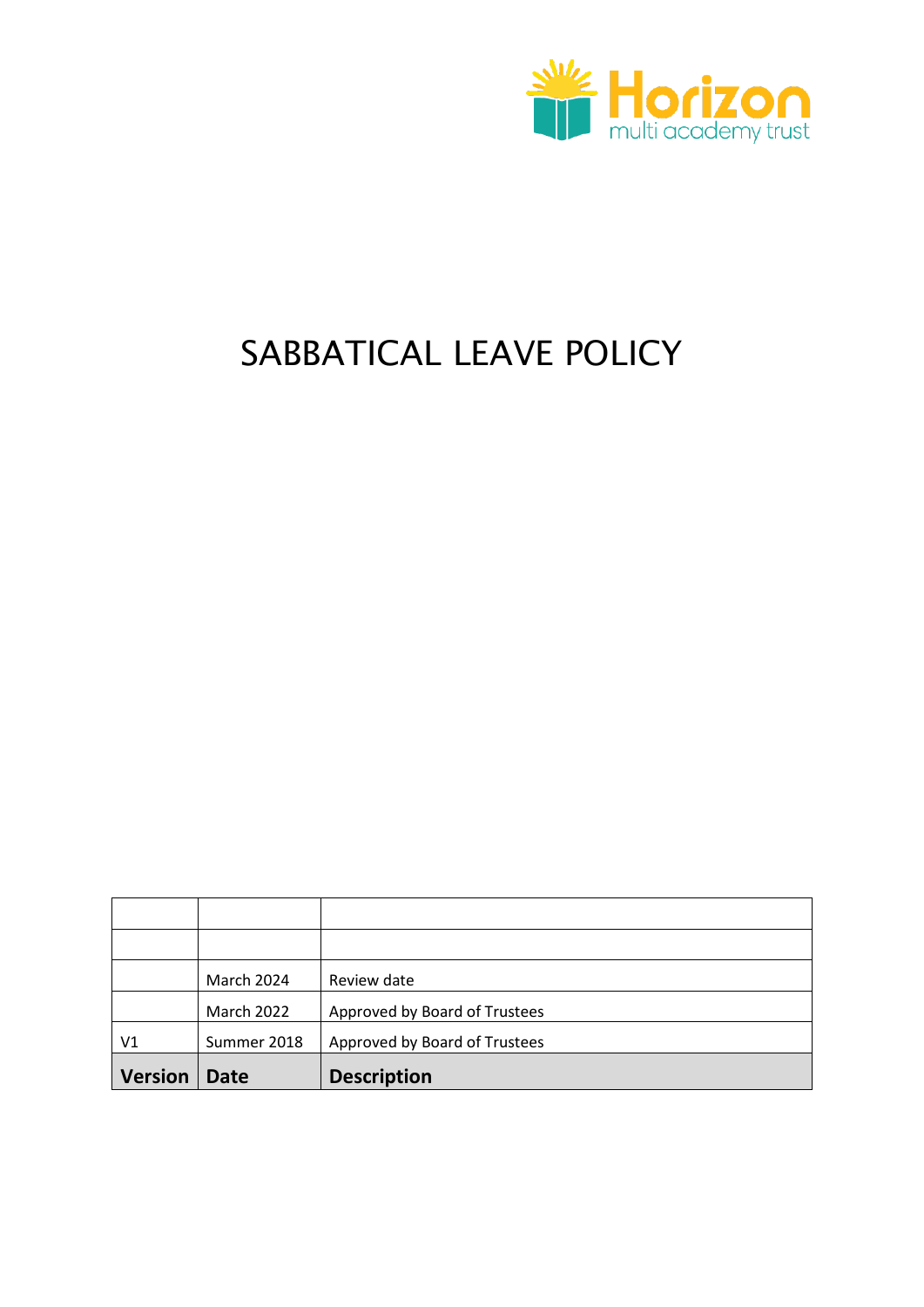

# SABBATICAL LEAVE POLICY

|                | March 2024  | Review date                   |
|----------------|-------------|-------------------------------|
|                | March 2022  | Approved by Board of Trustees |
| V <sub>1</sub> | Summer 2018 | Approved by Board of Trustees |
| <b>Version</b> | <b>Date</b> | <b>Description</b>            |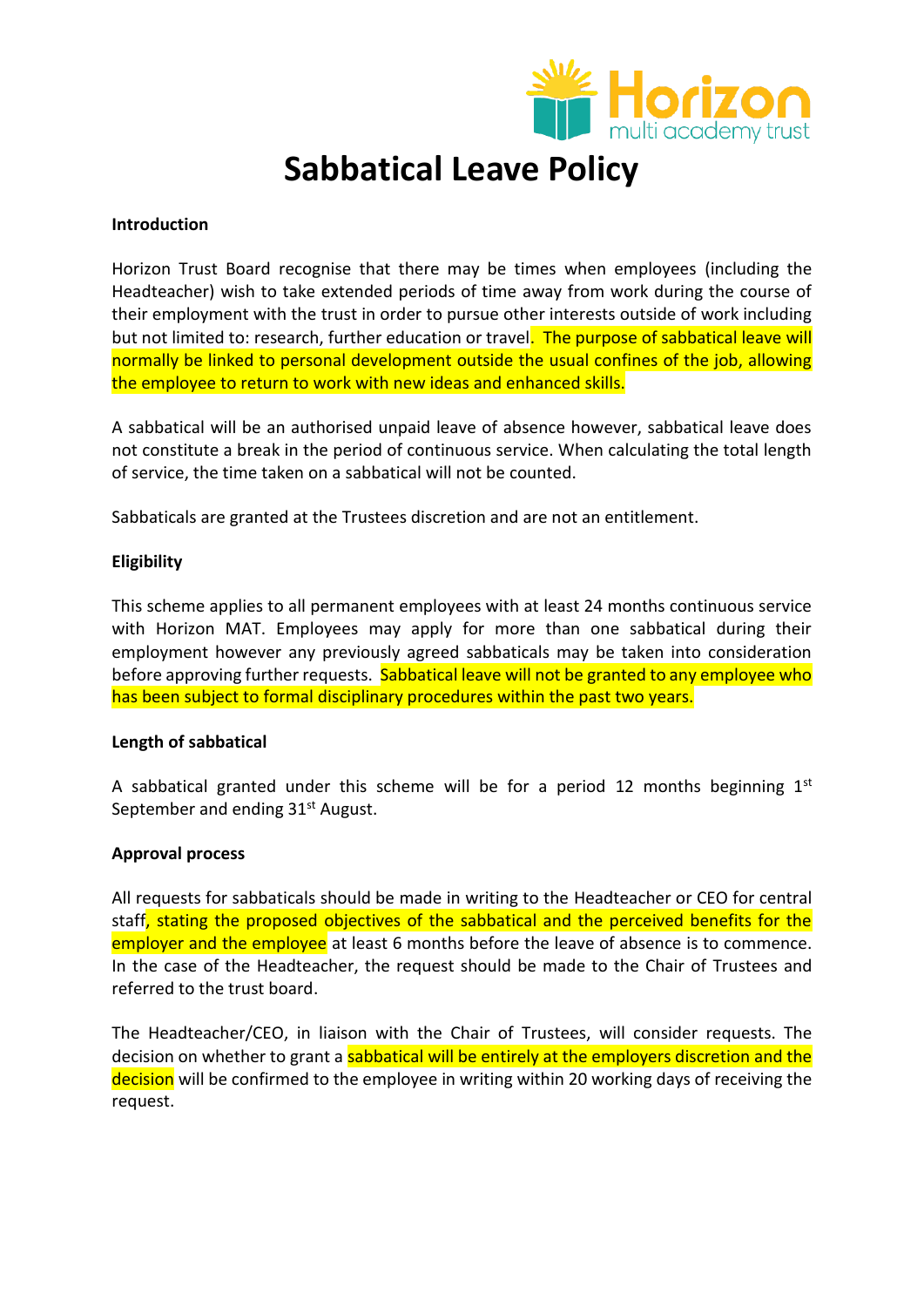

# **Sabbatical Leave Policy**

# **Introduction**

Horizon Trust Board recognise that there may be times when employees (including the Headteacher) wish to take extended periods of time away from work during the course of their employment with the trust in order to pursue other interests outside of work including but not limited to: research, further education or travel. The purpose of sabbatical leave will normally be linked to personal development outside the usual confines of the job, allowing the employee to return to work with new ideas and enhanced skills.

A sabbatical will be an authorised unpaid leave of absence however, sabbatical leave does not constitute a break in the period of continuous service. When calculating the total length of service, the time taken on a sabbatical will not be counted.

Sabbaticals are granted at the Trustees discretion and are not an entitlement.

# **Eligibility**

This scheme applies to all permanent employees with at least 24 months continuous service with Horizon MAT. Employees may apply for more than one sabbatical during their employment however any previously agreed sabbaticals may be taken into consideration before approving further requests. Sabbatical leave will not be granted to any employee who has been subject to formal disciplinary procedures within the past two years.

# **Length of sabbatical**

A sabbatical granted under this scheme will be for a period 12 months beginning  $1<sup>st</sup>$ September and ending 31<sup>st</sup> August.

# **Approval process**

All requests for sabbaticals should be made in writing to the Headteacher or CEO for central staff, stating the proposed objectives of the sabbatical and the perceived benefits for the employer and the employee at least 6 months before the leave of absence is to commence. In the case of the Headteacher, the request should be made to the Chair of Trustees and referred to the trust board.

The Headteacher/CEO, in liaison with the Chair of Trustees, will consider requests. The decision on whether to grant a sabbatical will be entirely at the employers discretion and the decision will be confirmed to the employee in writing within 20 working days of receiving the request.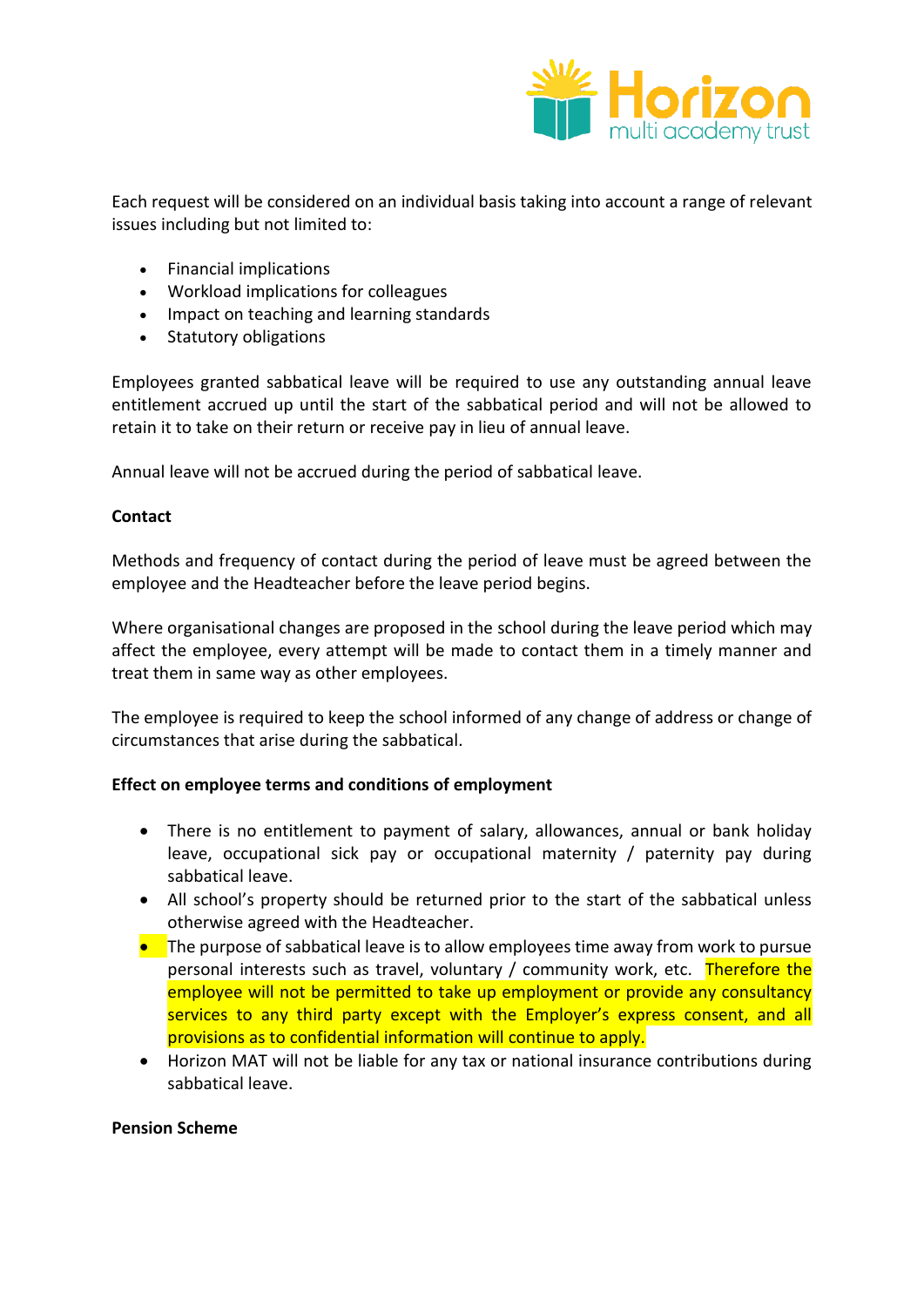

Each request will be considered on an individual basis taking into account a range of relevant issues including but not limited to:

- Financial implications
- Workload implications for colleagues
- Impact on teaching and learning standards
- Statutory obligations

Employees granted sabbatical leave will be required to use any outstanding annual leave entitlement accrued up until the start of the sabbatical period and will not be allowed to retain it to take on their return or receive pay in lieu of annual leave.

Annual leave will not be accrued during the period of sabbatical leave.

# **Contact**

Methods and frequency of contact during the period of leave must be agreed between the employee and the Headteacher before the leave period begins.

Where organisational changes are proposed in the school during the leave period which may affect the employee, every attempt will be made to contact them in a timely manner and treat them in same way as other employees.

The employee is required to keep the school informed of any change of address or change of circumstances that arise during the sabbatical.

# **Effect on employee terms and conditions of employment**

- There is no entitlement to payment of salary, allowances, annual or bank holiday leave, occupational sick pay or occupational maternity / paternity pay during sabbatical leave.
- All school's property should be returned prior to the start of the sabbatical unless otherwise agreed with the Headteacher.
- $\bullet$  The purpose of sabbatical leave is to allow employees time away from work to pursue personal interests such as travel, voluntary / community work, etc. Therefore the employee will not be permitted to take up employment or provide any consultancy services to any third party except with the Employer's express consent, and all provisions as to confidential information will continue to apply.
- Horizon MAT will not be liable for any tax or national insurance contributions during sabbatical leave.

# **Pension Scheme**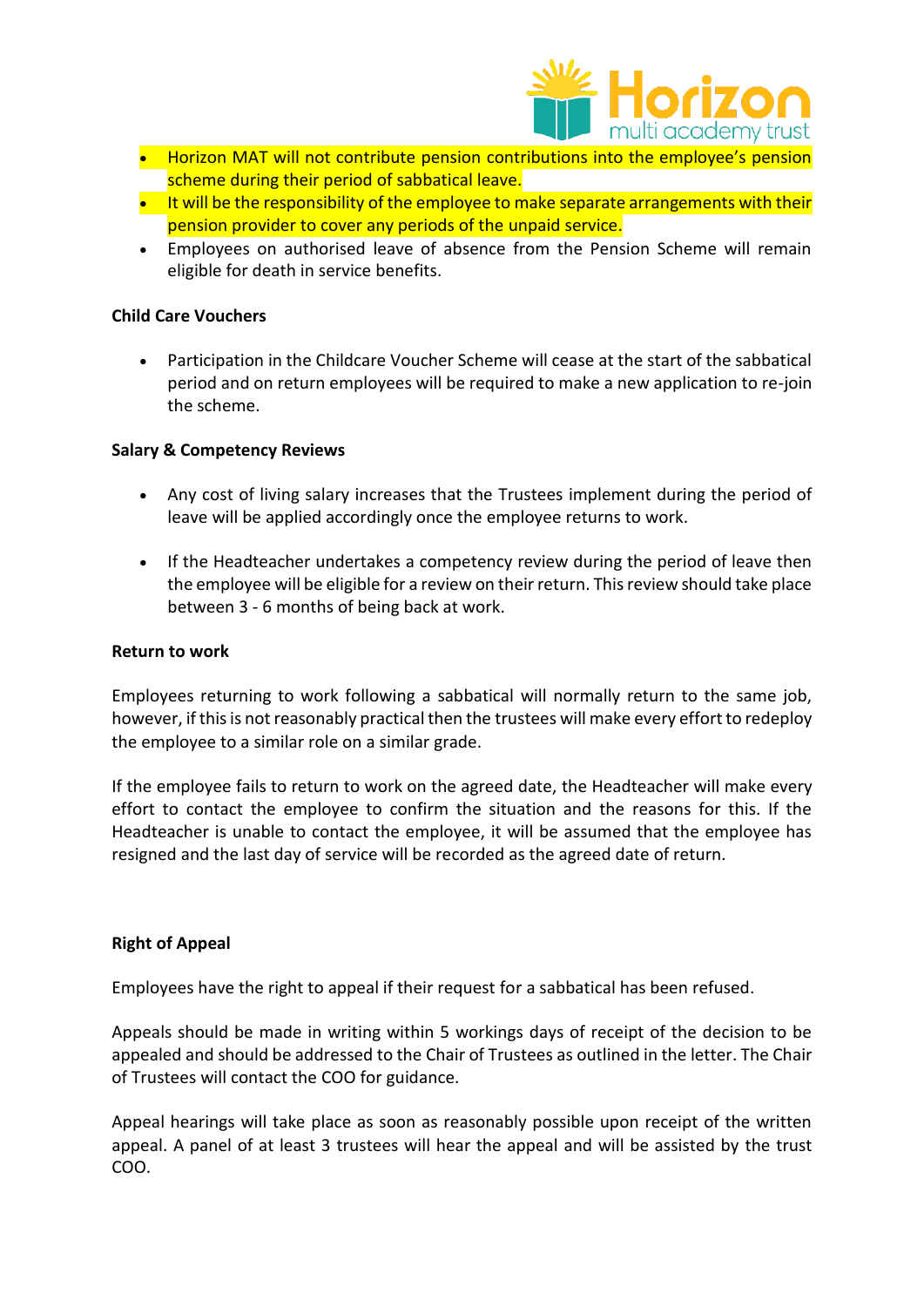

- Horizon MAT will not contribute pension contributions into the employee's pension scheme during their period of sabbatical leave.
- $\bullet$  It will be the responsibility of the employee to make separate arrangements with their pension provider to cover any periods of the unpaid service.
- Employees on authorised leave of absence from the Pension Scheme will remain eligible for death in service benefits.

# **Child Care Vouchers**

 Participation in the Childcare Voucher Scheme will cease at the start of the sabbatical period and on return employees will be required to make a new application to re-join the scheme.

# **Salary & Competency Reviews**

- Any cost of living salary increases that the Trustees implement during the period of leave will be applied accordingly once the employee returns to work.
- If the Headteacher undertakes a competency review during the period of leave then the employee will be eligible for a review on their return. This review should take place between 3 - 6 months of being back at work.

# **Return to work**

Employees returning to work following a sabbatical will normally return to the same job, however, if this is not reasonably practical then the trustees will make every effort to redeploy the employee to a similar role on a similar grade.

If the employee fails to return to work on the agreed date, the Headteacher will make every effort to contact the employee to confirm the situation and the reasons for this. If the Headteacher is unable to contact the employee, it will be assumed that the employee has resigned and the last day of service will be recorded as the agreed date of return.

# **Right of Appeal**

Employees have the right to appeal if their request for a sabbatical has been refused.

Appeals should be made in writing within 5 workings days of receipt of the decision to be appealed and should be addressed to the Chair of Trustees as outlined in the letter. The Chair of Trustees will contact the COO for guidance.

Appeal hearings will take place as soon as reasonably possible upon receipt of the written appeal. A panel of at least 3 trustees will hear the appeal and will be assisted by the trust COO.